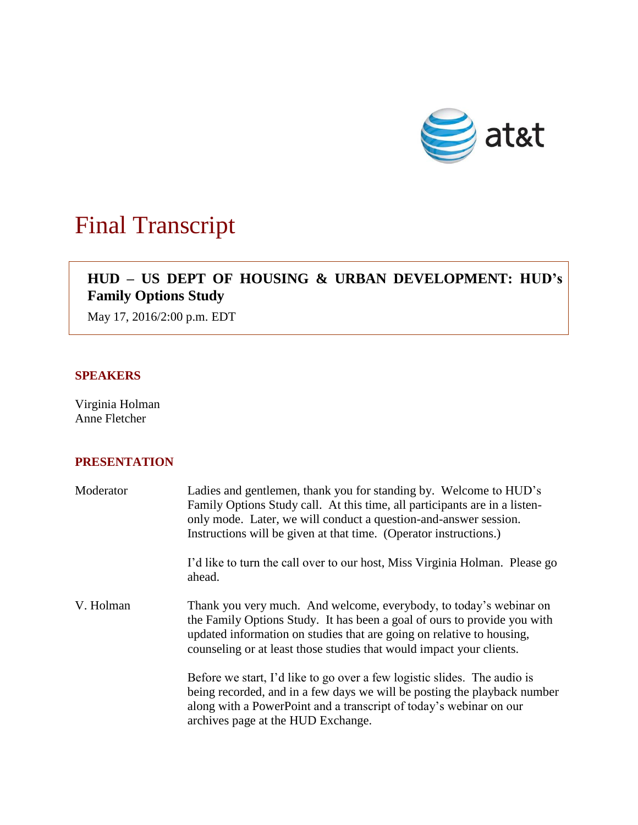

# Final Transcript

# **HUD – US DEPT OF HOUSING & URBAN DEVELOPMENT: HUD's Family Options Study**

May 17, 2016/2:00 p.m. EDT

### **SPEAKERS**

Virginia Holman Anne Fletcher

# **PRESENTATION**

| Moderator | Ladies and gentlemen, thank you for standing by. Welcome to HUD's<br>Family Options Study call. At this time, all participants are in a listen-<br>only mode. Later, we will conduct a question-and-answer session.<br>Instructions will be given at that time. (Operator instructions.)        |
|-----------|-------------------------------------------------------------------------------------------------------------------------------------------------------------------------------------------------------------------------------------------------------------------------------------------------|
|           | I'd like to turn the call over to our host, Miss Virginia Holman. Please go<br>ahead.                                                                                                                                                                                                           |
| V. Holman | Thank you very much. And welcome, everybody, to today's webinar on<br>the Family Options Study. It has been a goal of ours to provide you with<br>updated information on studies that are going on relative to housing,<br>counseling or at least those studies that would impact your clients. |
|           | Before we start, I'd like to go over a few logistic slides. The audio is<br>being recorded, and in a few days we will be posting the playback number<br>along with a PowerPoint and a transcript of today's webinar on our<br>archives page at the HUD Exchange.                                |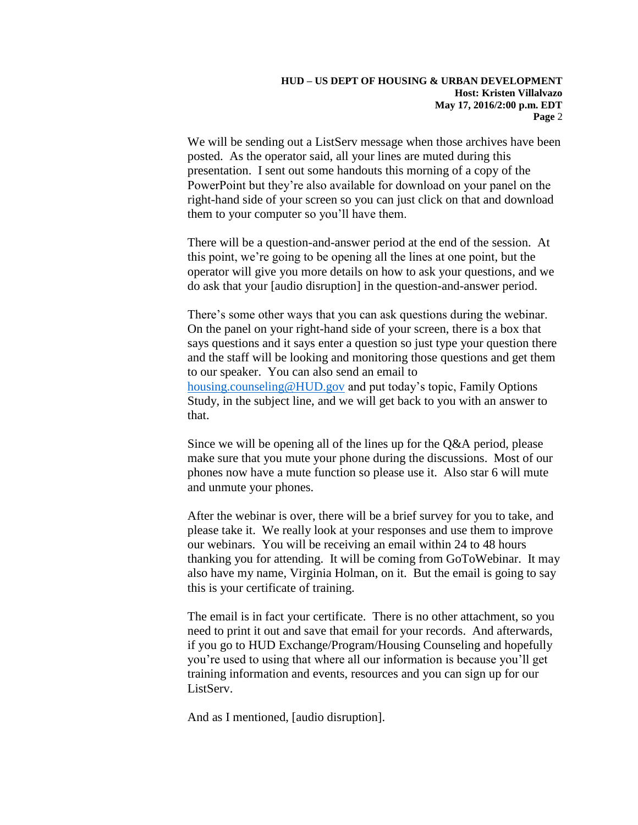We will be sending out a ListServ message when those archives have been posted. As the operator said, all your lines are muted during this presentation. I sent out some handouts this morning of a copy of the PowerPoint but they're also available for download on your panel on the right-hand side of your screen so you can just click on that and download them to your computer so you'll have them.

There will be a question-and-answer period at the end of the session. At this point, we're going to be opening all the lines at one point, but the operator will give you more details on how to ask your questions, and we do ask that your [audio disruption] in the question-and-answer period.

There's some other ways that you can ask questions during the webinar. On the panel on your right-hand side of your screen, there is a box that says questions and it says enter a question so just type your question there and the staff will be looking and monitoring those questions and get them to our speaker. You can also send an email to [housing.counseling@HUD.gov](mailto:housing.counseling@HUD.gov) and put today's topic, Family Options Study, in the subject line, and we will get back to you with an answer to that.

Since we will be opening all of the lines up for the Q&A period, please make sure that you mute your phone during the discussions. Most of our phones now have a mute function so please use it. Also star 6 will mute and unmute your phones.

After the webinar is over, there will be a brief survey for you to take, and please take it. We really look at your responses and use them to improve our webinars. You will be receiving an email within 24 to 48 hours thanking you for attending. It will be coming from GoToWebinar. It may also have my name, Virginia Holman, on it. But the email is going to say this is your certificate of training.

The email is in fact your certificate. There is no other attachment, so you need to print it out and save that email for your records. And afterwards, if you go to HUD Exchange/Program/Housing Counseling and hopefully you're used to using that where all our information is because you'll get training information and events, resources and you can sign up for our ListServ.

And as I mentioned, [audio disruption].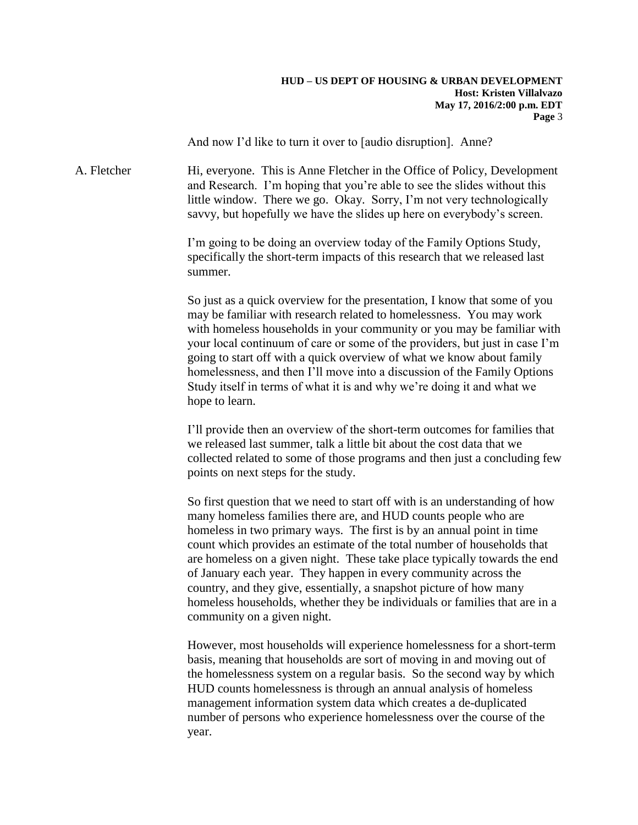#### **HUD – US DEPT OF HOUSING & URBAN DEVELOPMENT Host: Kristen Villalvazo May 17, 2016/2:00 p.m. EDT Page** 3

And now I'd like to turn it over to [audio disruption]. Anne?

A. Fletcher **Hi, everyone.** This is Anne Fletcher in the Office of Policy, Development and Research. I'm hoping that you're able to see the slides without this little window. There we go. Okay. Sorry, I'm not very technologically savvy, but hopefully we have the slides up here on everybody's screen.

> I'm going to be doing an overview today of the Family Options Study, specifically the short-term impacts of this research that we released last summer.

So just as a quick overview for the presentation, I know that some of you may be familiar with research related to homelessness. You may work with homeless households in your community or you may be familiar with your local continuum of care or some of the providers, but just in case I'm going to start off with a quick overview of what we know about family homelessness, and then I'll move into a discussion of the Family Options Study itself in terms of what it is and why we're doing it and what we hope to learn.

I'll provide then an overview of the short-term outcomes for families that we released last summer, talk a little bit about the cost data that we collected related to some of those programs and then just a concluding few points on next steps for the study.

So first question that we need to start off with is an understanding of how many homeless families there are, and HUD counts people who are homeless in two primary ways. The first is by an annual point in time count which provides an estimate of the total number of households that are homeless on a given night. These take place typically towards the end of January each year. They happen in every community across the country, and they give, essentially, a snapshot picture of how many homeless households, whether they be individuals or families that are in a community on a given night.

However, most households will experience homelessness for a short-term basis, meaning that households are sort of moving in and moving out of the homelessness system on a regular basis. So the second way by which HUD counts homelessness is through an annual analysis of homeless management information system data which creates a de-duplicated number of persons who experience homelessness over the course of the year.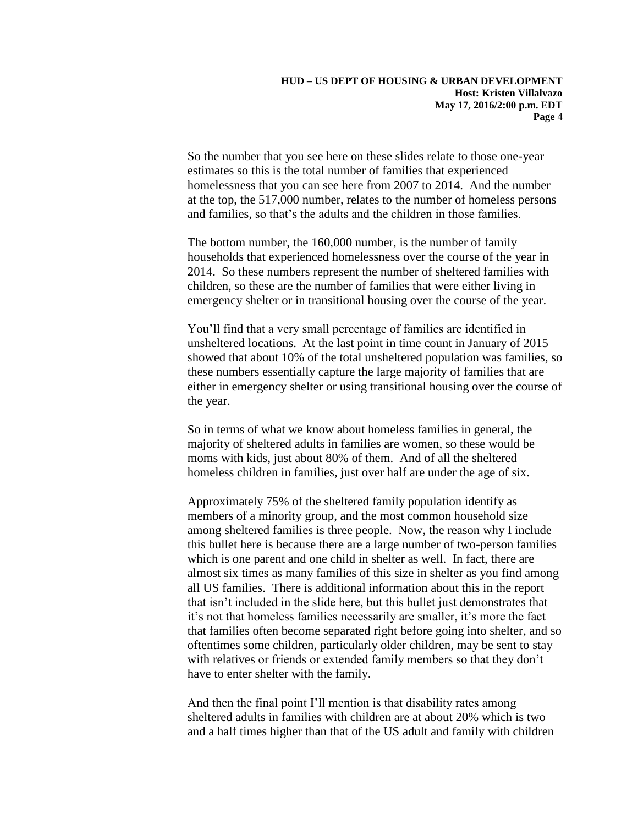So the number that you see here on these slides relate to those one-year estimates so this is the total number of families that experienced homelessness that you can see here from 2007 to 2014. And the number at the top, the 517,000 number, relates to the number of homeless persons and families, so that's the adults and the children in those families.

The bottom number, the 160,000 number, is the number of family households that experienced homelessness over the course of the year in 2014. So these numbers represent the number of sheltered families with children, so these are the number of families that were either living in emergency shelter or in transitional housing over the course of the year.

You'll find that a very small percentage of families are identified in unsheltered locations. At the last point in time count in January of 2015 showed that about 10% of the total unsheltered population was families, so these numbers essentially capture the large majority of families that are either in emergency shelter or using transitional housing over the course of the year.

So in terms of what we know about homeless families in general, the majority of sheltered adults in families are women, so these would be moms with kids, just about 80% of them. And of all the sheltered homeless children in families, just over half are under the age of six.

Approximately 75% of the sheltered family population identify as members of a minority group, and the most common household size among sheltered families is three people. Now, the reason why I include this bullet here is because there are a large number of two-person families which is one parent and one child in shelter as well. In fact, there are almost six times as many families of this size in shelter as you find among all US families. There is additional information about this in the report that isn't included in the slide here, but this bullet just demonstrates that it's not that homeless families necessarily are smaller, it's more the fact that families often become separated right before going into shelter, and so oftentimes some children, particularly older children, may be sent to stay with relatives or friends or extended family members so that they don't have to enter shelter with the family.

And then the final point I'll mention is that disability rates among sheltered adults in families with children are at about 20% which is two and a half times higher than that of the US adult and family with children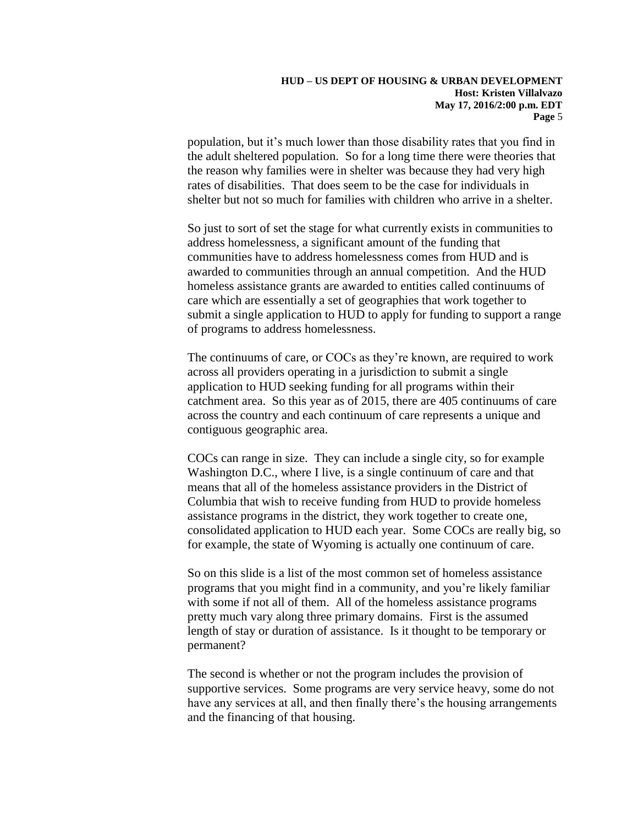population, but it's much lower than those disability rates that you find in the adult sheltered population. So for a long time there were theories that the reason why families were in shelter was because they had very high rates of disabilities. That does seem to be the case for individuals in shelter but not so much for families with children who arrive in a shelter.

So just to sort of set the stage for what currently exists in communities to address homelessness, a significant amount of the funding that communities have to address homelessness comes from HUD and is awarded to communities through an annual competition. And the HUD homeless assistance grants are awarded to entities called continuums of care which are essentially a set of geographies that work together to submit a single application to HUD to apply for funding to support a range of programs to address homelessness.

The continuums of care, or COCs as they're known, are required to work across all providers operating in a jurisdiction to submit a single application to HUD seeking funding for all programs within their catchment area. So this year as of 2015, there are 405 continuums of care across the country and each continuum of care represents a unique and contiguous geographic area.

COCs can range in size. They can include a single city, so for example Washington D.C., where I live, is a single continuum of care and that means that all of the homeless assistance providers in the District of Columbia that wish to receive funding from HUD to provide homeless assistance programs in the district, they work together to create one, consolidated application to HUD each year. Some COCs are really big, so for example, the state of Wyoming is actually one continuum of care.

So on this slide is a list of the most common set of homeless assistance programs that you might find in a community, and you're likely familiar with some if not all of them. All of the homeless assistance programs pretty much vary along three primary domains. First is the assumed length of stay or duration of assistance. Is it thought to be temporary or permanent?

The second is whether or not the program includes the provision of supportive services. Some programs are very service heavy, some do not have any services at all, and then finally there's the housing arrangements and the financing of that housing.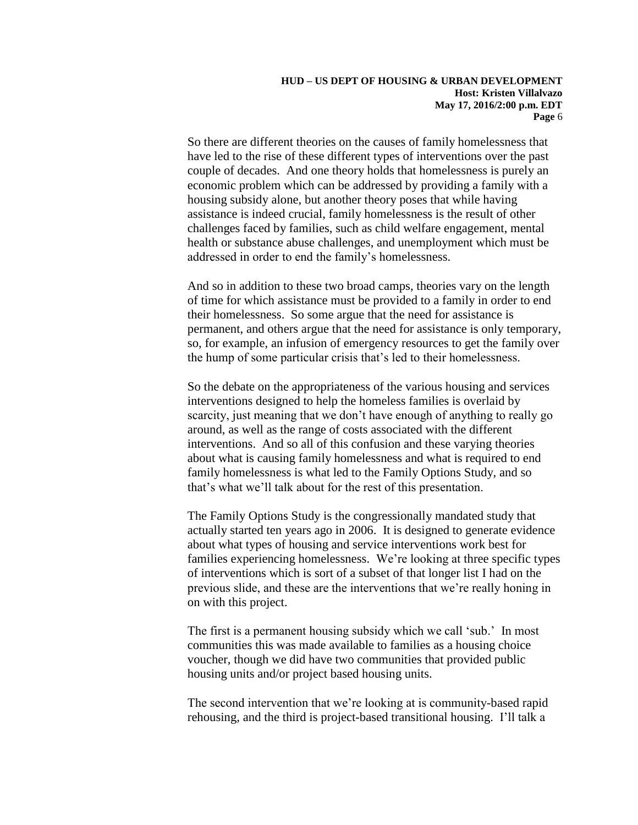So there are different theories on the causes of family homelessness that have led to the rise of these different types of interventions over the past couple of decades. And one theory holds that homelessness is purely an economic problem which can be addressed by providing a family with a housing subsidy alone, but another theory poses that while having assistance is indeed crucial, family homelessness is the result of other challenges faced by families, such as child welfare engagement, mental health or substance abuse challenges, and unemployment which must be addressed in order to end the family's homelessness.

And so in addition to these two broad camps, theories vary on the length of time for which assistance must be provided to a family in order to end their homelessness. So some argue that the need for assistance is permanent, and others argue that the need for assistance is only temporary, so, for example, an infusion of emergency resources to get the family over the hump of some particular crisis that's led to their homelessness.

So the debate on the appropriateness of the various housing and services interventions designed to help the homeless families is overlaid by scarcity, just meaning that we don't have enough of anything to really go around, as well as the range of costs associated with the different interventions. And so all of this confusion and these varying theories about what is causing family homelessness and what is required to end family homelessness is what led to the Family Options Study, and so that's what we'll talk about for the rest of this presentation.

The Family Options Study is the congressionally mandated study that actually started ten years ago in 2006. It is designed to generate evidence about what types of housing and service interventions work best for families experiencing homelessness. We're looking at three specific types of interventions which is sort of a subset of that longer list I had on the previous slide, and these are the interventions that we're really honing in on with this project.

The first is a permanent housing subsidy which we call 'sub.' In most communities this was made available to families as a housing choice voucher, though we did have two communities that provided public housing units and/or project based housing units.

The second intervention that we're looking at is community-based rapid rehousing, and the third is project-based transitional housing. I'll talk a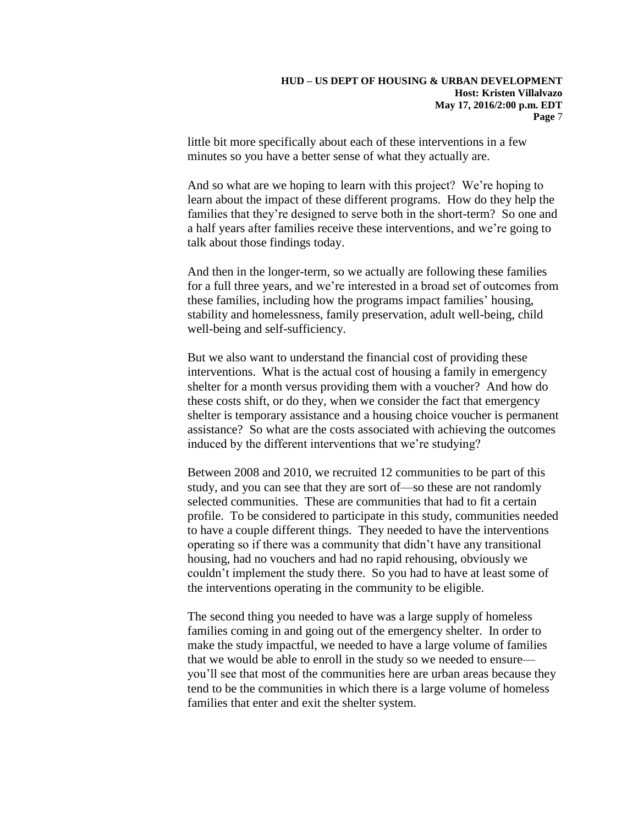little bit more specifically about each of these interventions in a few minutes so you have a better sense of what they actually are.

And so what are we hoping to learn with this project? We're hoping to learn about the impact of these different programs. How do they help the families that they're designed to serve both in the short-term? So one and a half years after families receive these interventions, and we're going to talk about those findings today.

And then in the longer-term, so we actually are following these families for a full three years, and we're interested in a broad set of outcomes from these families, including how the programs impact families' housing, stability and homelessness, family preservation, adult well-being, child well-being and self-sufficiency.

But we also want to understand the financial cost of providing these interventions. What is the actual cost of housing a family in emergency shelter for a month versus providing them with a voucher? And how do these costs shift, or do they, when we consider the fact that emergency shelter is temporary assistance and a housing choice voucher is permanent assistance? So what are the costs associated with achieving the outcomes induced by the different interventions that we're studying?

Between 2008 and 2010, we recruited 12 communities to be part of this study, and you can see that they are sort of—so these are not randomly selected communities. These are communities that had to fit a certain profile. To be considered to participate in this study, communities needed to have a couple different things. They needed to have the interventions operating so if there was a community that didn't have any transitional housing, had no vouchers and had no rapid rehousing, obviously we couldn't implement the study there. So you had to have at least some of the interventions operating in the community to be eligible.

The second thing you needed to have was a large supply of homeless families coming in and going out of the emergency shelter. In order to make the study impactful, we needed to have a large volume of families that we would be able to enroll in the study so we needed to ensure you'll see that most of the communities here are urban areas because they tend to be the communities in which there is a large volume of homeless families that enter and exit the shelter system.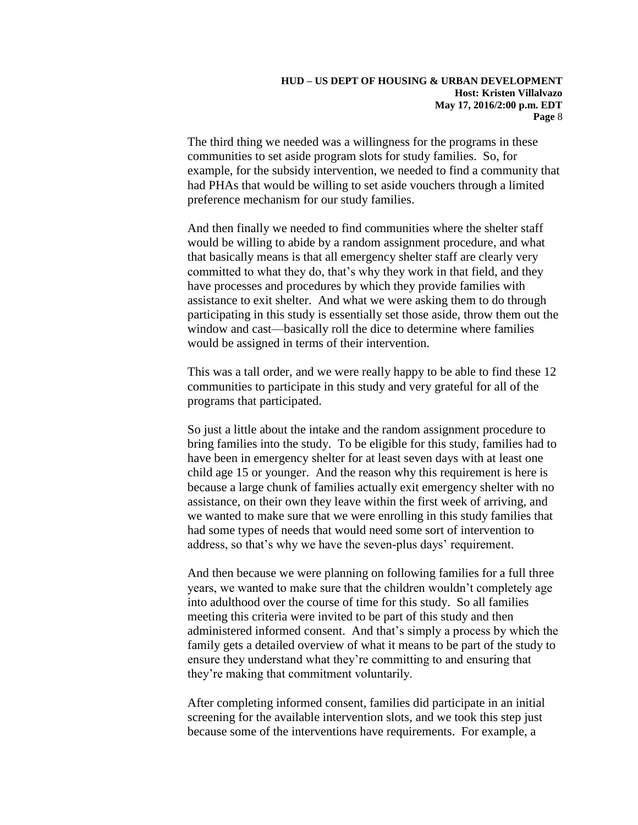The third thing we needed was a willingness for the programs in these communities to set aside program slots for study families. So, for example, for the subsidy intervention, we needed to find a community that had PHAs that would be willing to set aside vouchers through a limited preference mechanism for our study families.

And then finally we needed to find communities where the shelter staff would be willing to abide by a random assignment procedure, and what that basically means is that all emergency shelter staff are clearly very committed to what they do, that's why they work in that field, and they have processes and procedures by which they provide families with assistance to exit shelter. And what we were asking them to do through participating in this study is essentially set those aside, throw them out the window and cast—basically roll the dice to determine where families would be assigned in terms of their intervention.

This was a tall order, and we were really happy to be able to find these 12 communities to participate in this study and very grateful for all of the programs that participated.

So just a little about the intake and the random assignment procedure to bring families into the study. To be eligible for this study, families had to have been in emergency shelter for at least seven days with at least one child age 15 or younger. And the reason why this requirement is here is because a large chunk of families actually exit emergency shelter with no assistance, on their own they leave within the first week of arriving, and we wanted to make sure that we were enrolling in this study families that had some types of needs that would need some sort of intervention to address, so that's why we have the seven-plus days' requirement.

And then because we were planning on following families for a full three years, we wanted to make sure that the children wouldn't completely age into adulthood over the course of time for this study. So all families meeting this criteria were invited to be part of this study and then administered informed consent. And that's simply a process by which the family gets a detailed overview of what it means to be part of the study to ensure they understand what they're committing to and ensuring that they're making that commitment voluntarily.

After completing informed consent, families did participate in an initial screening for the available intervention slots, and we took this step just because some of the interventions have requirements. For example, a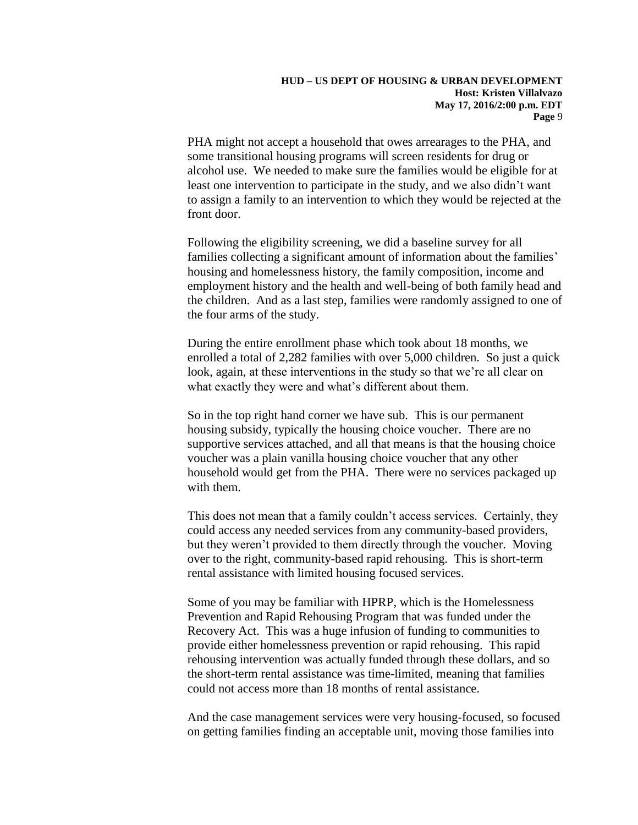PHA might not accept a household that owes arrearages to the PHA, and some transitional housing programs will screen residents for drug or alcohol use. We needed to make sure the families would be eligible for at least one intervention to participate in the study, and we also didn't want to assign a family to an intervention to which they would be rejected at the front door.

Following the eligibility screening, we did a baseline survey for all families collecting a significant amount of information about the families' housing and homelessness history, the family composition, income and employment history and the health and well-being of both family head and the children. And as a last step, families were randomly assigned to one of the four arms of the study.

During the entire enrollment phase which took about 18 months, we enrolled a total of 2,282 families with over 5,000 children. So just a quick look, again, at these interventions in the study so that we're all clear on what exactly they were and what's different about them.

So in the top right hand corner we have sub. This is our permanent housing subsidy, typically the housing choice voucher. There are no supportive services attached, and all that means is that the housing choice voucher was a plain vanilla housing choice voucher that any other household would get from the PHA. There were no services packaged up with them.

This does not mean that a family couldn't access services. Certainly, they could access any needed services from any community-based providers, but they weren't provided to them directly through the voucher. Moving over to the right, community-based rapid rehousing. This is short-term rental assistance with limited housing focused services.

Some of you may be familiar with HPRP, which is the Homelessness Prevention and Rapid Rehousing Program that was funded under the Recovery Act. This was a huge infusion of funding to communities to provide either homelessness prevention or rapid rehousing. This rapid rehousing intervention was actually funded through these dollars, and so the short-term rental assistance was time-limited, meaning that families could not access more than 18 months of rental assistance.

And the case management services were very housing-focused, so focused on getting families finding an acceptable unit, moving those families into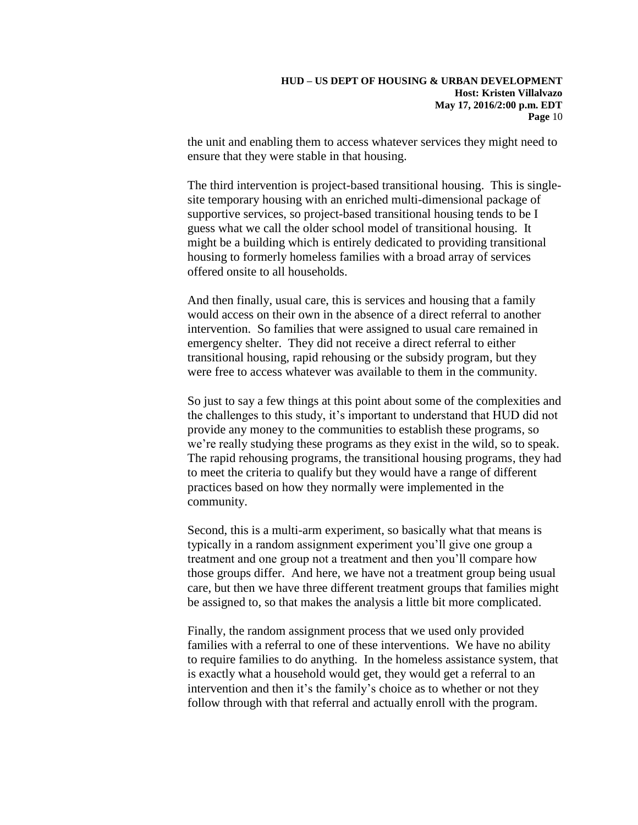the unit and enabling them to access whatever services they might need to ensure that they were stable in that housing.

The third intervention is project-based transitional housing. This is singlesite temporary housing with an enriched multi-dimensional package of supportive services, so project-based transitional housing tends to be I guess what we call the older school model of transitional housing. It might be a building which is entirely dedicated to providing transitional housing to formerly homeless families with a broad array of services offered onsite to all households.

And then finally, usual care, this is services and housing that a family would access on their own in the absence of a direct referral to another intervention. So families that were assigned to usual care remained in emergency shelter. They did not receive a direct referral to either transitional housing, rapid rehousing or the subsidy program, but they were free to access whatever was available to them in the community.

So just to say a few things at this point about some of the complexities and the challenges to this study, it's important to understand that HUD did not provide any money to the communities to establish these programs, so we're really studying these programs as they exist in the wild, so to speak. The rapid rehousing programs, the transitional housing programs, they had to meet the criteria to qualify but they would have a range of different practices based on how they normally were implemented in the community.

Second, this is a multi-arm experiment, so basically what that means is typically in a random assignment experiment you'll give one group a treatment and one group not a treatment and then you'll compare how those groups differ. And here, we have not a treatment group being usual care, but then we have three different treatment groups that families might be assigned to, so that makes the analysis a little bit more complicated.

Finally, the random assignment process that we used only provided families with a referral to one of these interventions. We have no ability to require families to do anything. In the homeless assistance system, that is exactly what a household would get, they would get a referral to an intervention and then it's the family's choice as to whether or not they follow through with that referral and actually enroll with the program.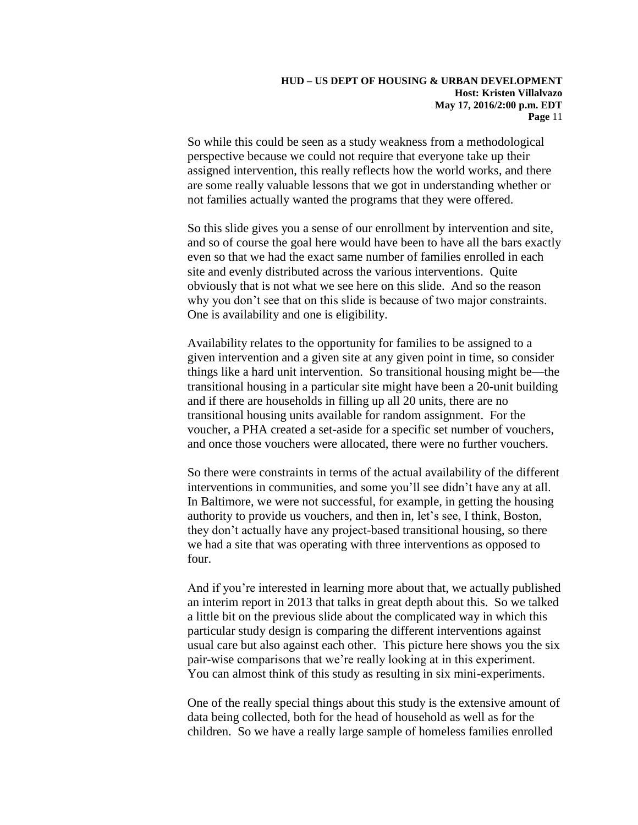So while this could be seen as a study weakness from a methodological perspective because we could not require that everyone take up their assigned intervention, this really reflects how the world works, and there are some really valuable lessons that we got in understanding whether or not families actually wanted the programs that they were offered.

So this slide gives you a sense of our enrollment by intervention and site, and so of course the goal here would have been to have all the bars exactly even so that we had the exact same number of families enrolled in each site and evenly distributed across the various interventions. Quite obviously that is not what we see here on this slide. And so the reason why you don't see that on this slide is because of two major constraints. One is availability and one is eligibility.

Availability relates to the opportunity for families to be assigned to a given intervention and a given site at any given point in time, so consider things like a hard unit intervention. So transitional housing might be—the transitional housing in a particular site might have been a 20-unit building and if there are households in filling up all 20 units, there are no transitional housing units available for random assignment. For the voucher, a PHA created a set-aside for a specific set number of vouchers, and once those vouchers were allocated, there were no further vouchers.

So there were constraints in terms of the actual availability of the different interventions in communities, and some you'll see didn't have any at all. In Baltimore, we were not successful, for example, in getting the housing authority to provide us vouchers, and then in, let's see, I think, Boston, they don't actually have any project-based transitional housing, so there we had a site that was operating with three interventions as opposed to four.

And if you're interested in learning more about that, we actually published an interim report in 2013 that talks in great depth about this. So we talked a little bit on the previous slide about the complicated way in which this particular study design is comparing the different interventions against usual care but also against each other. This picture here shows you the six pair-wise comparisons that we're really looking at in this experiment. You can almost think of this study as resulting in six mini-experiments.

One of the really special things about this study is the extensive amount of data being collected, both for the head of household as well as for the children. So we have a really large sample of homeless families enrolled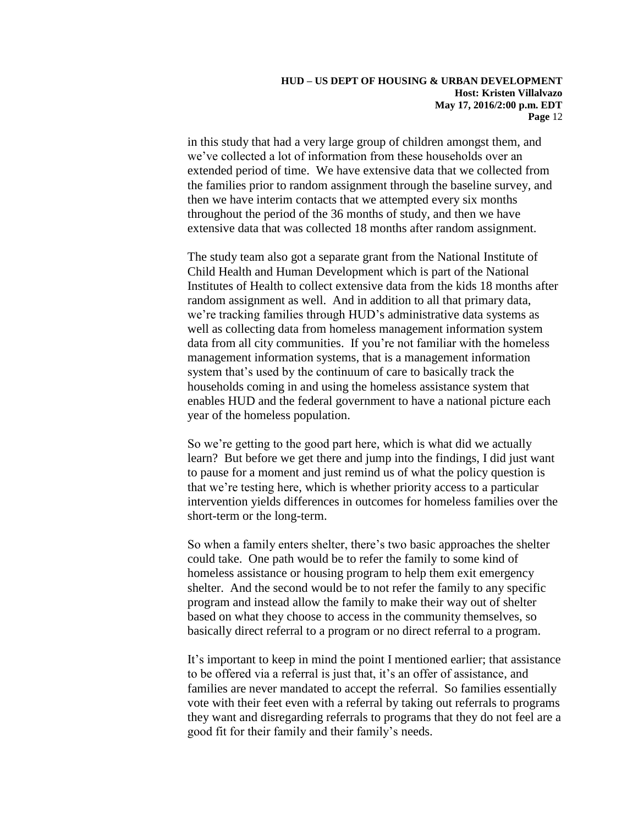in this study that had a very large group of children amongst them, and we've collected a lot of information from these households over an extended period of time. We have extensive data that we collected from the families prior to random assignment through the baseline survey, and then we have interim contacts that we attempted every six months throughout the period of the 36 months of study, and then we have extensive data that was collected 18 months after random assignment.

The study team also got a separate grant from the National Institute of Child Health and Human Development which is part of the National Institutes of Health to collect extensive data from the kids 18 months after random assignment as well. And in addition to all that primary data, we're tracking families through HUD's administrative data systems as well as collecting data from homeless management information system data from all city communities. If you're not familiar with the homeless management information systems, that is a management information system that's used by the continuum of care to basically track the households coming in and using the homeless assistance system that enables HUD and the federal government to have a national picture each year of the homeless population.

So we're getting to the good part here, which is what did we actually learn? But before we get there and jump into the findings, I did just want to pause for a moment and just remind us of what the policy question is that we're testing here, which is whether priority access to a particular intervention yields differences in outcomes for homeless families over the short-term or the long-term.

So when a family enters shelter, there's two basic approaches the shelter could take. One path would be to refer the family to some kind of homeless assistance or housing program to help them exit emergency shelter. And the second would be to not refer the family to any specific program and instead allow the family to make their way out of shelter based on what they choose to access in the community themselves, so basically direct referral to a program or no direct referral to a program.

It's important to keep in mind the point I mentioned earlier; that assistance to be offered via a referral is just that, it's an offer of assistance, and families are never mandated to accept the referral. So families essentially vote with their feet even with a referral by taking out referrals to programs they want and disregarding referrals to programs that they do not feel are a good fit for their family and their family's needs.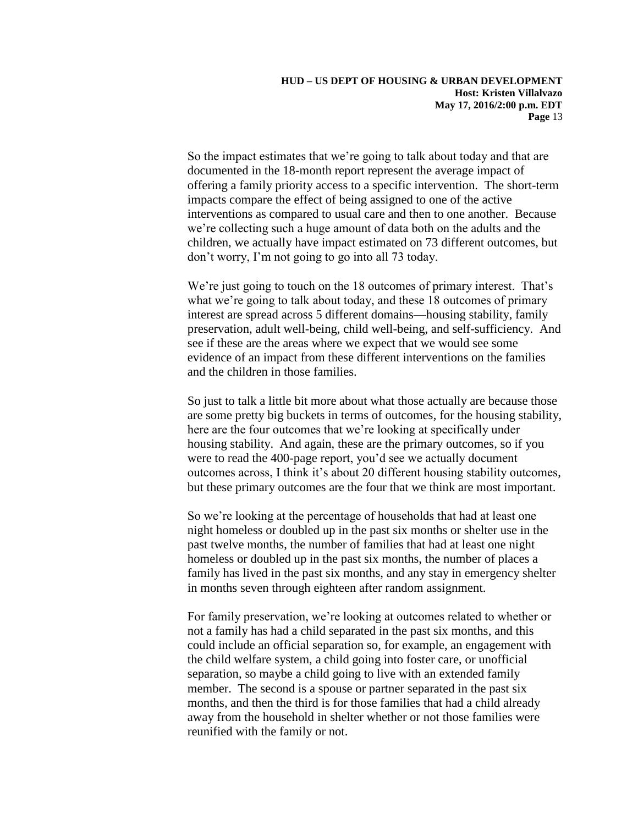So the impact estimates that we're going to talk about today and that are documented in the 18-month report represent the average impact of offering a family priority access to a specific intervention. The short-term impacts compare the effect of being assigned to one of the active interventions as compared to usual care and then to one another. Because we're collecting such a huge amount of data both on the adults and the children, we actually have impact estimated on 73 different outcomes, but don't worry, I'm not going to go into all 73 today.

We're just going to touch on the 18 outcomes of primary interest. That's what we're going to talk about today, and these 18 outcomes of primary interest are spread across 5 different domains—housing stability, family preservation, adult well-being, child well-being, and self-sufficiency. And see if these are the areas where we expect that we would see some evidence of an impact from these different interventions on the families and the children in those families.

So just to talk a little bit more about what those actually are because those are some pretty big buckets in terms of outcomes, for the housing stability, here are the four outcomes that we're looking at specifically under housing stability. And again, these are the primary outcomes, so if you were to read the 400-page report, you'd see we actually document outcomes across, I think it's about 20 different housing stability outcomes, but these primary outcomes are the four that we think are most important.

So we're looking at the percentage of households that had at least one night homeless or doubled up in the past six months or shelter use in the past twelve months, the number of families that had at least one night homeless or doubled up in the past six months, the number of places a family has lived in the past six months, and any stay in emergency shelter in months seven through eighteen after random assignment.

For family preservation, we're looking at outcomes related to whether or not a family has had a child separated in the past six months, and this could include an official separation so, for example, an engagement with the child welfare system, a child going into foster care, or unofficial separation, so maybe a child going to live with an extended family member. The second is a spouse or partner separated in the past six months, and then the third is for those families that had a child already away from the household in shelter whether or not those families were reunified with the family or not.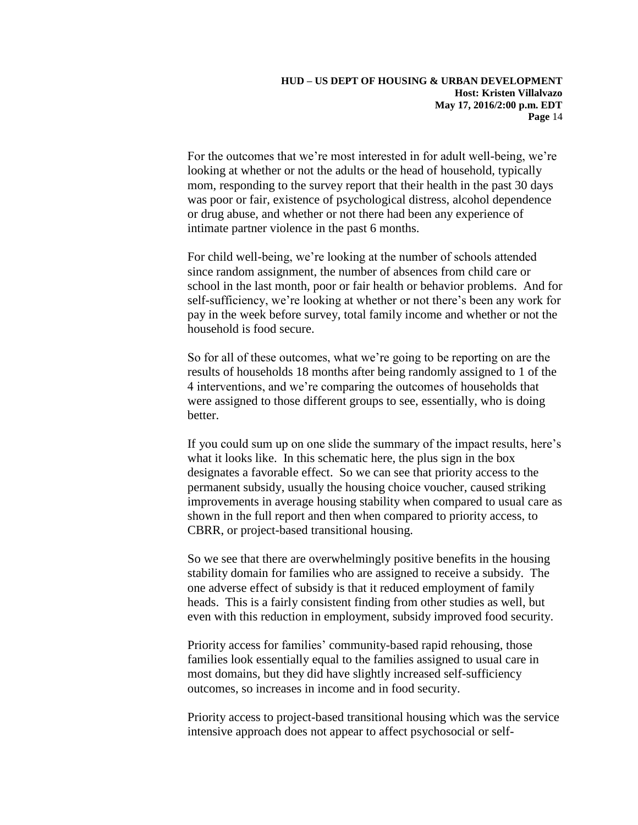For the outcomes that we're most interested in for adult well-being, we're looking at whether or not the adults or the head of household, typically mom, responding to the survey report that their health in the past 30 days was poor or fair, existence of psychological distress, alcohol dependence or drug abuse, and whether or not there had been any experience of intimate partner violence in the past 6 months.

For child well-being, we're looking at the number of schools attended since random assignment, the number of absences from child care or school in the last month, poor or fair health or behavior problems. And for self-sufficiency, we're looking at whether or not there's been any work for pay in the week before survey, total family income and whether or not the household is food secure.

So for all of these outcomes, what we're going to be reporting on are the results of households 18 months after being randomly assigned to 1 of the 4 interventions, and we're comparing the outcomes of households that were assigned to those different groups to see, essentially, who is doing better.

If you could sum up on one slide the summary of the impact results, here's what it looks like. In this schematic here, the plus sign in the box designates a favorable effect. So we can see that priority access to the permanent subsidy, usually the housing choice voucher, caused striking improvements in average housing stability when compared to usual care as shown in the full report and then when compared to priority access, to CBRR, or project-based transitional housing.

So we see that there are overwhelmingly positive benefits in the housing stability domain for families who are assigned to receive a subsidy. The one adverse effect of subsidy is that it reduced employment of family heads. This is a fairly consistent finding from other studies as well, but even with this reduction in employment, subsidy improved food security.

Priority access for families' community-based rapid rehousing, those families look essentially equal to the families assigned to usual care in most domains, but they did have slightly increased self-sufficiency outcomes, so increases in income and in food security.

Priority access to project-based transitional housing which was the service intensive approach does not appear to affect psychosocial or self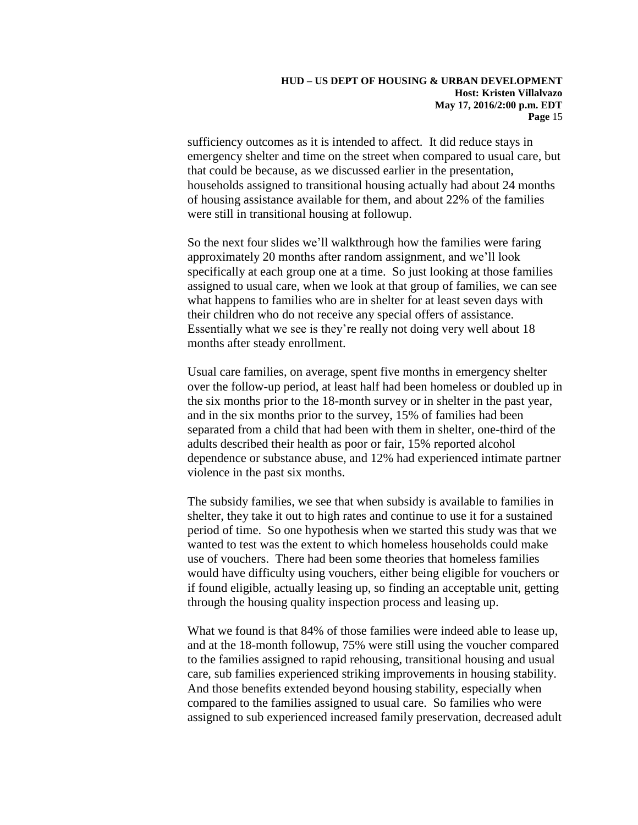sufficiency outcomes as it is intended to affect. It did reduce stays in emergency shelter and time on the street when compared to usual care, but that could be because, as we discussed earlier in the presentation, households assigned to transitional housing actually had about 24 months of housing assistance available for them, and about 22% of the families were still in transitional housing at followup.

So the next four slides we'll walkthrough how the families were faring approximately 20 months after random assignment, and we'll look specifically at each group one at a time. So just looking at those families assigned to usual care, when we look at that group of families, we can see what happens to families who are in shelter for at least seven days with their children who do not receive any special offers of assistance. Essentially what we see is they're really not doing very well about 18 months after steady enrollment.

Usual care families, on average, spent five months in emergency shelter over the follow-up period, at least half had been homeless or doubled up in the six months prior to the 18-month survey or in shelter in the past year, and in the six months prior to the survey, 15% of families had been separated from a child that had been with them in shelter, one-third of the adults described their health as poor or fair, 15% reported alcohol dependence or substance abuse, and 12% had experienced intimate partner violence in the past six months.

The subsidy families, we see that when subsidy is available to families in shelter, they take it out to high rates and continue to use it for a sustained period of time. So one hypothesis when we started this study was that we wanted to test was the extent to which homeless households could make use of vouchers. There had been some theories that homeless families would have difficulty using vouchers, either being eligible for vouchers or if found eligible, actually leasing up, so finding an acceptable unit, getting through the housing quality inspection process and leasing up.

What we found is that 84% of those families were indeed able to lease up, and at the 18-month followup, 75% were still using the voucher compared to the families assigned to rapid rehousing, transitional housing and usual care, sub families experienced striking improvements in housing stability. And those benefits extended beyond housing stability, especially when compared to the families assigned to usual care. So families who were assigned to sub experienced increased family preservation, decreased adult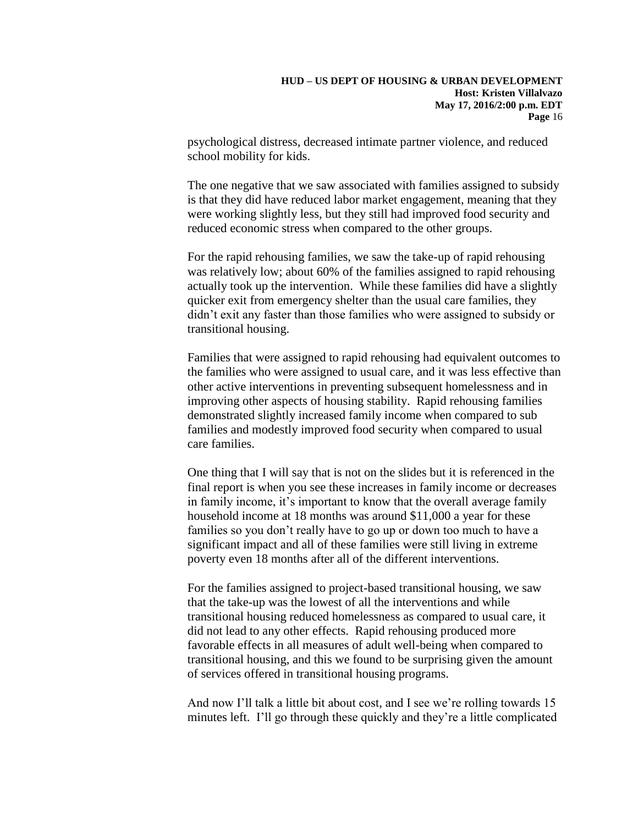psychological distress, decreased intimate partner violence, and reduced school mobility for kids.

The one negative that we saw associated with families assigned to subsidy is that they did have reduced labor market engagement, meaning that they were working slightly less, but they still had improved food security and reduced economic stress when compared to the other groups.

For the rapid rehousing families, we saw the take-up of rapid rehousing was relatively low; about 60% of the families assigned to rapid rehousing actually took up the intervention. While these families did have a slightly quicker exit from emergency shelter than the usual care families, they didn't exit any faster than those families who were assigned to subsidy or transitional housing.

Families that were assigned to rapid rehousing had equivalent outcomes to the families who were assigned to usual care, and it was less effective than other active interventions in preventing subsequent homelessness and in improving other aspects of housing stability. Rapid rehousing families demonstrated slightly increased family income when compared to sub families and modestly improved food security when compared to usual care families.

One thing that I will say that is not on the slides but it is referenced in the final report is when you see these increases in family income or decreases in family income, it's important to know that the overall average family household income at 18 months was around \$11,000 a year for these families so you don't really have to go up or down too much to have a significant impact and all of these families were still living in extreme poverty even 18 months after all of the different interventions.

For the families assigned to project-based transitional housing, we saw that the take-up was the lowest of all the interventions and while transitional housing reduced homelessness as compared to usual care, it did not lead to any other effects. Rapid rehousing produced more favorable effects in all measures of adult well-being when compared to transitional housing, and this we found to be surprising given the amount of services offered in transitional housing programs.

And now I'll talk a little bit about cost, and I see we're rolling towards 15 minutes left. I'll go through these quickly and they're a little complicated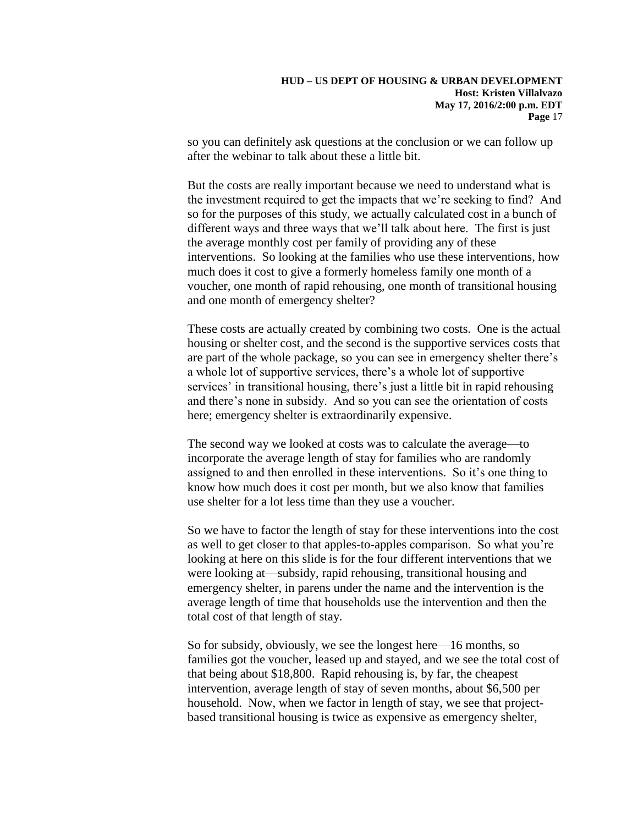so you can definitely ask questions at the conclusion or we can follow up after the webinar to talk about these a little bit.

But the costs are really important because we need to understand what is the investment required to get the impacts that we're seeking to find? And so for the purposes of this study, we actually calculated cost in a bunch of different ways and three ways that we'll talk about here. The first is just the average monthly cost per family of providing any of these interventions. So looking at the families who use these interventions, how much does it cost to give a formerly homeless family one month of a voucher, one month of rapid rehousing, one month of transitional housing and one month of emergency shelter?

These costs are actually created by combining two costs. One is the actual housing or shelter cost, and the second is the supportive services costs that are part of the whole package, so you can see in emergency shelter there's a whole lot of supportive services, there's a whole lot of supportive services' in transitional housing, there's just a little bit in rapid rehousing and there's none in subsidy. And so you can see the orientation of costs here; emergency shelter is extraordinarily expensive.

The second way we looked at costs was to calculate the average—to incorporate the average length of stay for families who are randomly assigned to and then enrolled in these interventions. So it's one thing to know how much does it cost per month, but we also know that families use shelter for a lot less time than they use a voucher.

So we have to factor the length of stay for these interventions into the cost as well to get closer to that apples-to-apples comparison. So what you're looking at here on this slide is for the four different interventions that we were looking at—subsidy, rapid rehousing, transitional housing and emergency shelter, in parens under the name and the intervention is the average length of time that households use the intervention and then the total cost of that length of stay.

So for subsidy, obviously, we see the longest here—16 months, so families got the voucher, leased up and stayed, and we see the total cost of that being about \$18,800. Rapid rehousing is, by far, the cheapest intervention, average length of stay of seven months, about \$6,500 per household. Now, when we factor in length of stay, we see that projectbased transitional housing is twice as expensive as emergency shelter,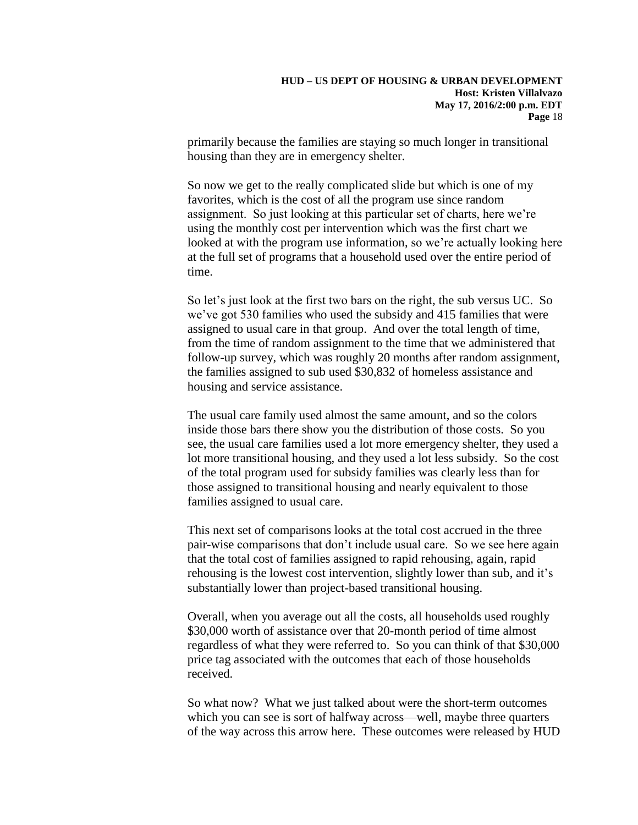primarily because the families are staying so much longer in transitional housing than they are in emergency shelter.

So now we get to the really complicated slide but which is one of my favorites, which is the cost of all the program use since random assignment. So just looking at this particular set of charts, here we're using the monthly cost per intervention which was the first chart we looked at with the program use information, so we're actually looking here at the full set of programs that a household used over the entire period of time.

So let's just look at the first two bars on the right, the sub versus UC. So we've got 530 families who used the subsidy and 415 families that were assigned to usual care in that group. And over the total length of time, from the time of random assignment to the time that we administered that follow-up survey, which was roughly 20 months after random assignment, the families assigned to sub used \$30,832 of homeless assistance and housing and service assistance.

The usual care family used almost the same amount, and so the colors inside those bars there show you the distribution of those costs. So you see, the usual care families used a lot more emergency shelter, they used a lot more transitional housing, and they used a lot less subsidy. So the cost of the total program used for subsidy families was clearly less than for those assigned to transitional housing and nearly equivalent to those families assigned to usual care.

This next set of comparisons looks at the total cost accrued in the three pair-wise comparisons that don't include usual care. So we see here again that the total cost of families assigned to rapid rehousing, again, rapid rehousing is the lowest cost intervention, slightly lower than sub, and it's substantially lower than project-based transitional housing.

Overall, when you average out all the costs, all households used roughly \$30,000 worth of assistance over that 20-month period of time almost regardless of what they were referred to. So you can think of that \$30,000 price tag associated with the outcomes that each of those households received.

So what now? What we just talked about were the short-term outcomes which you can see is sort of halfway across—well, maybe three quarters of the way across this arrow here. These outcomes were released by HUD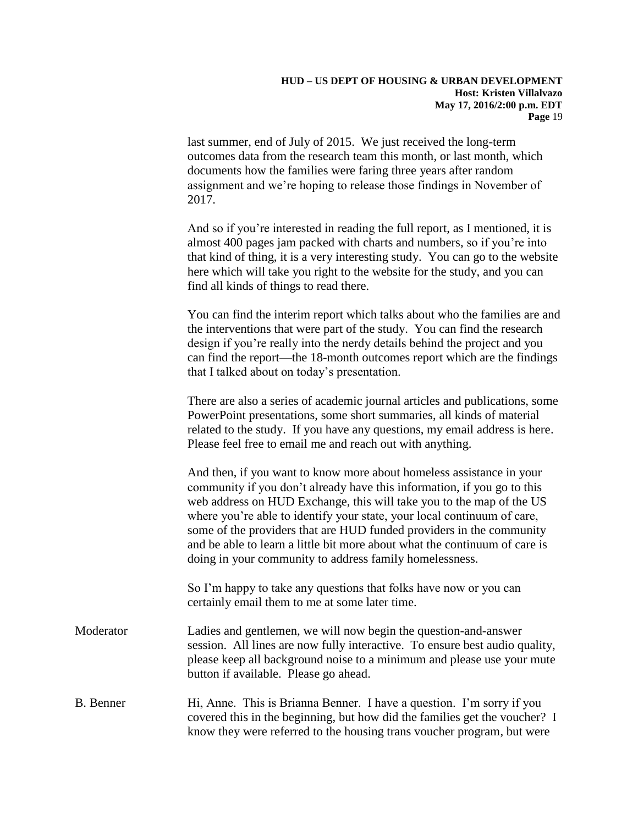last summer, end of July of 2015. We just received the long-term outcomes data from the research team this month, or last month, which documents how the families were faring three years after random assignment and we're hoping to release those findings in November of 2017.

And so if you're interested in reading the full report, as I mentioned, it is almost 400 pages jam packed with charts and numbers, so if you're into that kind of thing, it is a very interesting study. You can go to the website here which will take you right to the website for the study, and you can find all kinds of things to read there.

You can find the interim report which talks about who the families are and the interventions that were part of the study. You can find the research design if you're really into the nerdy details behind the project and you can find the report—the 18-month outcomes report which are the findings that I talked about on today's presentation.

There are also a series of academic journal articles and publications, some PowerPoint presentations, some short summaries, all kinds of material related to the study. If you have any questions, my email address is here. Please feel free to email me and reach out with anything.

And then, if you want to know more about homeless assistance in your community if you don't already have this information, if you go to this web address on HUD Exchange, this will take you to the map of the US where you're able to identify your state, your local continuum of care, some of the providers that are HUD funded providers in the community and be able to learn a little bit more about what the continuum of care is doing in your community to address family homelessness.

So I'm happy to take any questions that folks have now or you can certainly email them to me at some later time.

Moderator Ladies and gentlemen, we will now begin the question-and-answer session. All lines are now fully interactive. To ensure best audio quality, please keep all background noise to a minimum and please use your mute button if available. Please go ahead.

# B. Benner Hi, Anne. This is Brianna Benner. I have a question. I'm sorry if you covered this in the beginning, but how did the families get the voucher? I know they were referred to the housing trans voucher program, but were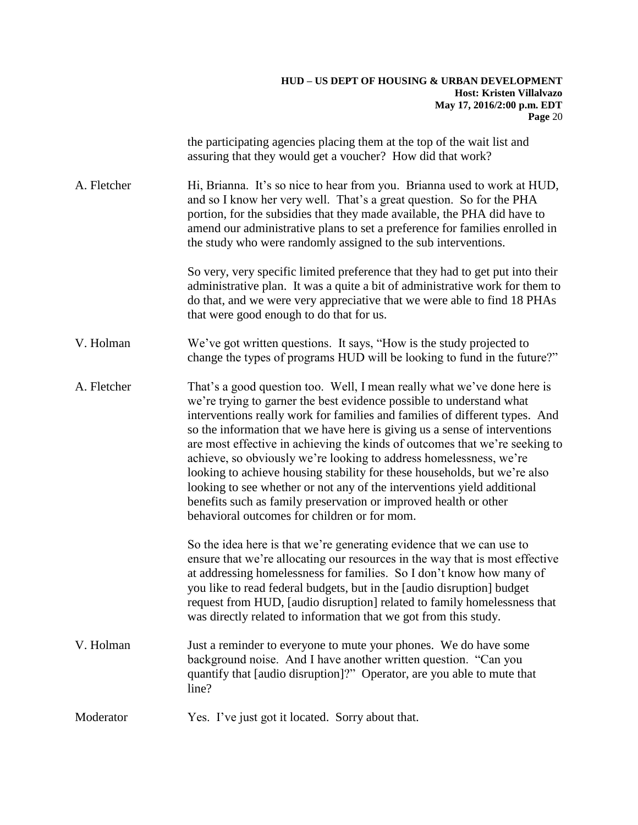the participating agencies placing them at the top of the wait list and assuring that they would get a voucher? How did that work? A. Fletcher Hi, Brianna. It's so nice to hear from you. Brianna used to work at HUD, and so I know her very well. That's a great question. So for the PHA portion, for the subsidies that they made available, the PHA did have to amend our administrative plans to set a preference for families enrolled in the study who were randomly assigned to the sub interventions. So very, very specific limited preference that they had to get put into their administrative plan. It was a quite a bit of administrative work for them to do that, and we were very appreciative that we were able to find 18 PHAs that were good enough to do that for us. V. Holman We've got written questions. It says, "How is the study projected to change the types of programs HUD will be looking to fund in the future?" A. Fletcher That's a good question too. Well, I mean really what we've done here is we're trying to garner the best evidence possible to understand what interventions really work for families and families of different types. And so the information that we have here is giving us a sense of interventions are most effective in achieving the kinds of outcomes that we're seeking to achieve, so obviously we're looking to address homelessness, we're looking to achieve housing stability for these households, but we're also looking to see whether or not any of the interventions yield additional benefits such as family preservation or improved health or other behavioral outcomes for children or for mom. So the idea here is that we're generating evidence that we can use to ensure that we're allocating our resources in the way that is most effective at addressing homelessness for families. So I don't know how many of you like to read federal budgets, but in the [audio disruption] budget request from HUD, [audio disruption] related to family homelessness that was directly related to information that we got from this study. V. Holman Just a reminder to everyone to mute your phones. We do have some background noise. And I have another written question. "Can you quantify that [audio disruption]?" Operator, are you able to mute that line?

Moderator Yes. I've just got it located. Sorry about that.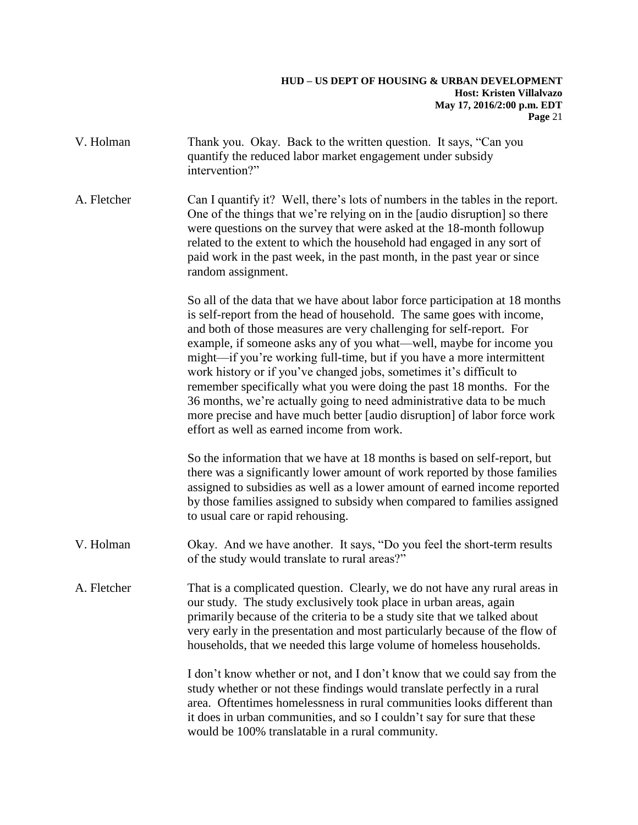#### **HUD – US DEPT OF HOUSING & URBAN DEVELOPMENT Host: Kristen Villalvazo May 17, 2016/2:00 p.m. EDT Page** 21

| V. Holman   | Thank you. Okay. Back to the written question. It says, "Can you<br>quantify the reduced labor market engagement under subsidy<br>intervention?"                                                                                                                                                                                                                                                                                                                                                                                                                                                                                                                                                                                   |
|-------------|------------------------------------------------------------------------------------------------------------------------------------------------------------------------------------------------------------------------------------------------------------------------------------------------------------------------------------------------------------------------------------------------------------------------------------------------------------------------------------------------------------------------------------------------------------------------------------------------------------------------------------------------------------------------------------------------------------------------------------|
| A. Fletcher | Can I quantify it? Well, there's lots of numbers in the tables in the report.<br>One of the things that we're relying on in the [audio disruption] so there<br>were questions on the survey that were asked at the 18-month followup<br>related to the extent to which the household had engaged in any sort of<br>paid work in the past week, in the past month, in the past year or since<br>random assignment.                                                                                                                                                                                                                                                                                                                  |
|             | So all of the data that we have about labor force participation at 18 months<br>is self-report from the head of household. The same goes with income,<br>and both of those measures are very challenging for self-report. For<br>example, if someone asks any of you what—well, maybe for income you<br>might—if you're working full-time, but if you have a more intermittent<br>work history or if you've changed jobs, sometimes it's difficult to<br>remember specifically what you were doing the past 18 months. For the<br>36 months, we're actually going to need administrative data to be much<br>more precise and have much better [audio disruption] of labor force work<br>effort as well as earned income from work. |
|             | So the information that we have at 18 months is based on self-report, but<br>there was a significantly lower amount of work reported by those families<br>assigned to subsidies as well as a lower amount of earned income reported<br>by those families assigned to subsidy when compared to families assigned<br>to usual care or rapid rehousing.                                                                                                                                                                                                                                                                                                                                                                               |
| V. Holman   | Okay. And we have another. It says, "Do you feel the short-term results<br>of the study would translate to rural areas?"                                                                                                                                                                                                                                                                                                                                                                                                                                                                                                                                                                                                           |
| A. Fletcher | That is a complicated question. Clearly, we do not have any rural areas in<br>our study. The study exclusively took place in urban areas, again<br>primarily because of the criteria to be a study site that we talked about<br>very early in the presentation and most particularly because of the flow of<br>households, that we needed this large volume of homeless households.                                                                                                                                                                                                                                                                                                                                                |
|             | I don't know whether or not, and I don't know that we could say from the<br>study whether or not these findings would translate perfectly in a rural<br>area. Oftentimes homelessness in rural communities looks different than<br>it does in urban communities, and so I couldn't say for sure that these<br>would be 100% translatable in a rural community.                                                                                                                                                                                                                                                                                                                                                                     |